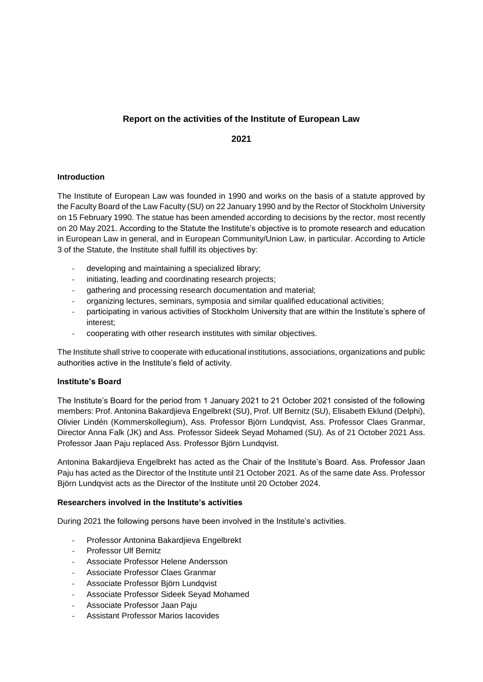# **Report on the activities of the Institute of European Law**

**2021**

### **Introduction**

The Institute of European Law was founded in 1990 and works on the basis of a statute approved by the Faculty Board of the Law Faculty (SU) on 22 January 1990 and by the Rector of Stockholm University on 15 February 1990. The statue has been amended according to decisions by the rector, most recently on 20 May 2021. According to the Statute the Institute's objective is to promote research and education in European Law in general, and in European Community/Union Law, in particular. According to Article 3 of the Statute, the Institute shall fulfill its objectives by:

- developing and maintaining a specialized library;
- initiating, leading and coordinating research projects;
- gathering and processing research documentation and material;
- organizing lectures, seminars, symposia and similar qualified educational activities;
- participating in various activities of Stockholm University that are within the Institute's sphere of interest;
- cooperating with other research institutes with similar objectives.

The Institute shall strive to cooperate with educational institutions, associations, organizations and public authorities active in the Institute's field of activity.

#### **Institute's Board**

The Institute's Board for the period from 1 January 2021 to 21 October 2021 consisted of the following members: Prof. Antonina Bakardjieva Engelbrekt (SU), Prof. Ulf Bernitz (SU), Elisabeth Eklund (Delphi), Olivier Lindén (Kommerskollegium), Ass. Professor Björn Lundqvist, Ass. Professor Claes Granmar, Director Anna Falk (JK) and Ass. Professor Sideek Seyad Mohamed (SU). As of 21 October 2021 Ass. Professor Jaan Paju replaced Ass. Professor Björn Lundqvist.

Antonina Bakardjieva Engelbrekt has acted as the Chair of the Institute's Board. Ass. Professor Jaan Paju has acted as the Director of the Institute until 21 October 2021. As of the same date Ass. Professor Björn Lundqvist acts as the Director of the Institute until 20 October 2024.

#### **Researchers involved in the Institute's activities**

During 2021 the following persons have been involved in the Institute's activities.

- Professor Antonina Bakardjieva Engelbrekt
- Professor Ulf Bernitz
- Associate Professor Helene Andersson
- Associate Professor Claes Granmar
- Associate Professor Björn Lundqvist
- Associate Professor Sideek Seyad Mohamed
- Associate Professor Jaan Paju
- Assistant Professor Marios Iacovides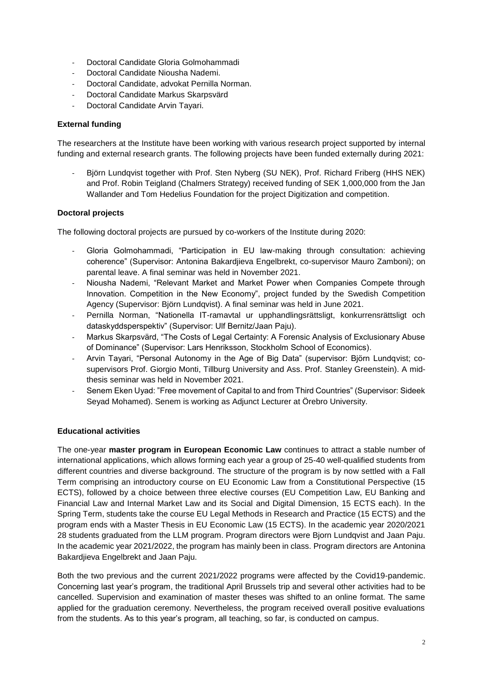- Doctoral Candidate Gloria Golmohammadi
- Doctoral Candidate Niousha Nademi.
- Doctoral Candidate, advokat Pernilla Norman.
- Doctoral Candidate Markus Skarpsvärd
- Doctoral Candidate Arvin Tavari.

### **External funding**

The researchers at the Institute have been working with various research project supported by internal funding and external research grants. The following projects have been funded externally during 2021:

Björn Lundqvist together with Prof. Sten Nyberg (SU NEK), Prof. Richard Friberg (HHS NEK) and Prof. Robin Teigland (Chalmers Strategy) received funding of SEK 1,000,000 from the Jan Wallander and Tom Hedelius Foundation for the project Digitization and competition.

### **Doctoral projects**

The following doctoral projects are pursued by co-workers of the Institute during 2020:

- Gloria Golmohammadi, "Participation in EU law-making through consultation: achieving coherence" (Supervisor: Antonina Bakardjieva Engelbrekt, co-supervisor Mauro Zamboni); on parental leave. A final seminar was held in November 2021.
- Niousha Nademi, "Relevant Market and Market Power when Companies Compete through Innovation. Competition in the New Economy", project funded by the Swedish Competition Agency (Supervisor: Björn Lundqvist). A final seminar was held in June 2021.
- Pernilla Norman, "Nationella IT-ramavtal ur upphandlingsrättsligt, konkurrensrättsligt och dataskyddsperspektiv" (Supervisor: Ulf Bernitz/Jaan Paju).
- Markus Skarpsvärd, "The Costs of Legal Certainty: A Forensic Analysis of Exclusionary Abuse of Dominance" (Supervisor: Lars Henriksson, Stockholm School of Economics).
- Arvin Tayari, "Personal Autonomy in the Age of Big Data" (supervisor: Björn Lundqvist; cosupervisors Prof. Giorgio Monti, Tillburg University and Ass. Prof. Stanley Greenstein). A midthesis seminar was held in November 2021.
- Senem Eken Uyad: "Free movement of Capital to and from Third Countries" (Supervisor: Sideek Seyad Mohamed). Senem is working as Adjunct Lecturer at Örebro University.

### **Educational activities**

The one-year **master program in European Economic Law** continues to attract a stable number of international applications, which allows forming each year a group of 25-40 well-qualified students from different countries and diverse background. The structure of the program is by now settled with a Fall Term comprising an introductory course on EU Economic Law from a Constitutional Perspective (15 ECTS), followed by a choice between three elective courses (EU Competition Law, EU Banking and Financial Law and Internal Market Law and its Social and Digital Dimension, 15 ECTS each). In the Spring Term, students take the course EU Legal Methods in Research and Practice (15 ECTS) and the program ends with a Master Thesis in EU Economic Law (15 ECTS). In the academic year 2020/2021 28 students graduated from the LLM program. Program directors were Bjorn Lundqvist and Jaan Paju. In the academic year 2021/2022, the program has mainly been in class. Program directors are Antonina Bakardjieva Engelbrekt and Jaan Paju.

Both the two previous and the current 2021/2022 programs were affected by the Covid19-pandemic. Concerning last year's program, the traditional April Brussels trip and several other activities had to be cancelled. Supervision and examination of master theses was shifted to an online format. The same applied for the graduation ceremony. Nevertheless, the program received overall positive evaluations from the students. As to this year's program, all teaching, so far, is conducted on campus.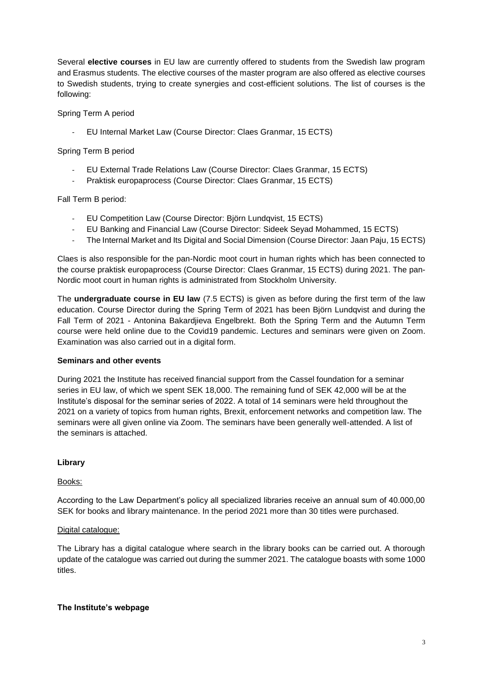Several **elective courses** in EU law are currently offered to students from the Swedish law program and Erasmus students. The elective courses of the master program are also offered as elective courses to Swedish students, trying to create synergies and cost-efficient solutions. The list of courses is the following:

Spring Term A period

- EU Internal Market Law (Course Director: Claes Granmar, 15 ECTS)

Spring Term B period

- EU External Trade Relations Law (Course Director: Claes Granmar, 15 ECTS)
- Praktisk europaprocess (Course Director: Claes Granmar, 15 ECTS)

Fall Term B period:

- EU Competition Law (Course Director: Björn Lundqvist, 15 ECTS)
- EU Banking and Financial Law (Course Director: Sideek Seyad Mohammed, 15 ECTS)
- The Internal Market and Its Digital and Social Dimension (Course Director: Jaan Paju, 15 ECTS)

Claes is also responsible for the pan-Nordic moot court in human rights which has been connected to the course praktisk europaprocess (Course Director: Claes Granmar, 15 ECTS) during 2021. The pan-Nordic moot court in human rights is administrated from Stockholm University.

The **undergraduate course in EU law** (7.5 ECTS) is given as before during the first term of the law education. Course Director during the Spring Term of 2021 has been Björn Lundqvist and during the Fall Term of 2021 - Antonina Bakardjieva Engelbrekt. Both the Spring Term and the Autumn Term course were held online due to the Covid19 pandemic. Lectures and seminars were given on Zoom. Examination was also carried out in a digital form.

### **Seminars and other events**

During 2021 the Institute has received financial support from the Cassel foundation for a seminar series in EU law, of which we spent SEK 18,000. The remaining fund of SEK 42,000 will be at the Institute's disposal for the seminar series of 2022. A total of 14 seminars were held throughout the 2021 on a variety of topics from human rights, Brexit, enforcement networks and competition law. The seminars were all given online via Zoom. The seminars have been generally well-attended. A list of the seminars is attached.

### **Library**

### Books:

According to the Law Department's policy all specialized libraries receive an annual sum of 40.000,00 SEK for books and library maintenance. In the period 2021 more than 30 titles were purchased.

### Digital catalogue:

The Library has a digital catalogue where search in the library books can be carried out. A thorough update of the catalogue was carried out during the summer 2021. The catalogue boasts with some 1000 titles.

### **The Institute's webpage**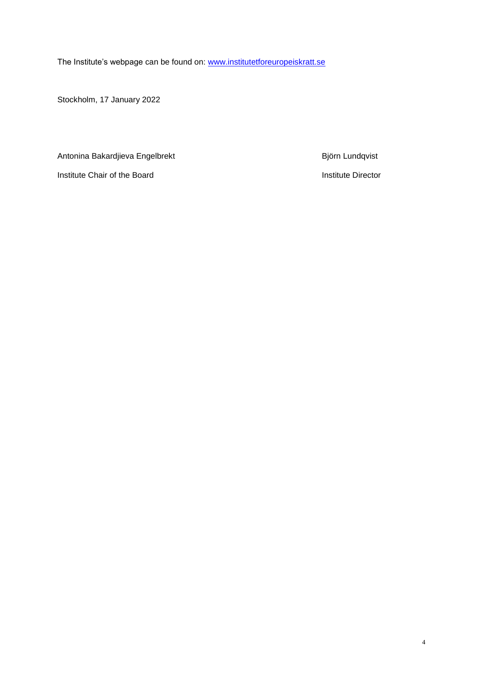The Institute's webpage can be found on: [www.institutetforeuropeiskratt.se](http://www.institutetforeuropeiskratt.se/)

Stockholm, 17 January 2022

Antonina Bakardjieva Engelbrekt Biotania Bakardjieva Engelbrekt Björn Lundqvist

Institute Chair of the Board **Institute Director**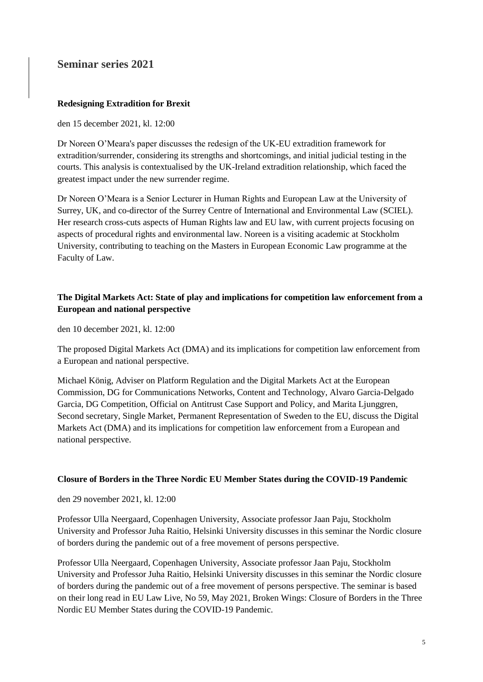# **Seminar series 2021**

### **Redesigning Extradition for Brexit**

den 15 december 2021, kl. 12:00

Dr Noreen O'Meara's paper discusses the redesign of the UK-EU extradition framework for extradition/surrender, considering its strengths and shortcomings, and initial judicial testing in the courts. This analysis is contextualised by the UK-Ireland extradition relationship, which faced the greatest impact under the new surrender regime.

Dr Noreen O'Meara is a Senior Lecturer in Human Rights and European Law at the University of Surrey, UK, and co-director of the Surrey Centre of International and Environmental Law (SCIEL). Her research cross-cuts aspects of Human Rights law and EU law, with current projects focusing on aspects of procedural rights and environmental law. Noreen is a visiting academic at Stockholm University, contributing to teaching on the Masters in European Economic Law programme at the Faculty of Law.

## **The Digital Markets Act: State of play and implications for competition law enforcement from a European and national perspective**

den 10 december 2021, kl. 12:00

The proposed Digital Markets Act (DMA) and its implications for competition law enforcement from a European and national perspective.

Michael König, Adviser on Platform Regulation and the Digital Markets Act at the European Commission, DG for Communications Networks, Content and Technology, Alvaro Garcia-Delgado Garcia, DG Competition, Official on Antitrust Case Support and Policy, and Marita Ljunggren, Second secretary, Single Market, Permanent Representation of Sweden to the EU, discuss the Digital Markets Act (DMA) and its implications for competition law enforcement from a European and national perspective.

### **Closure of Borders in the Three Nordic EU Member States during the COVID-19 Pandemic**

den 29 november 2021, kl. 12:00

Professor Ulla Neergaard, Copenhagen University, Associate professor Jaan Paju, Stockholm University and Professor Juha Raitio, Helsinki University discusses in this seminar the Nordic closure of borders during the pandemic out of a free movement of persons perspective.

Professor Ulla Neergaard, Copenhagen University, Associate professor Jaan Paju, Stockholm University and Professor Juha Raitio, Helsinki University discusses in this seminar the Nordic closure of borders during the pandemic out of a free movement of persons perspective. The seminar is based on their long read in EU Law Live, No 59, May 2021, Broken Wings: Closure of Borders in the Three Nordic EU Member States during the COVID-19 Pandemic.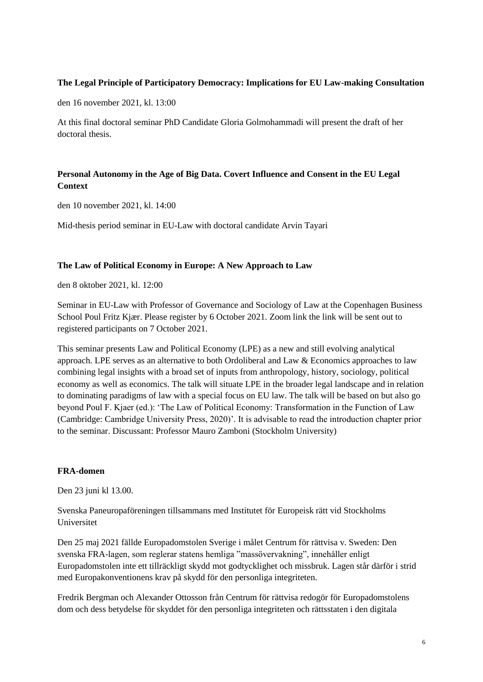### **The Legal Principle of Participatory Democracy: Implications for EU Law-making Consultation**

den 16 november 2021, kl. 13:00

At this final doctoral seminar PhD Candidate Gloria Golmohammadi will present the draft of her doctoral thesis.

## **Personal Autonomy in the Age of Big Data. Covert Influence and Consent in the EU Legal Context**

den 10 november 2021, kl. 14:00

Mid-thesis period seminar in EU-Law with doctoral candidate Arvin Tayari

### **The Law of Political Economy in Europe: A New Approach to Law**

den 8 oktober 2021, kl. 12:00

Seminar in EU-Law with Professor of Governance and Sociology of Law at the Copenhagen Business School Poul Fritz Kjær. Please register by 6 October 2021. Zoom link the link will be sent out to registered participants on 7 October 2021.

This seminar presents Law and Political Economy (LPE) as a new and still evolving analytical approach. LPE serves as an alternative to both Ordoliberal and Law & Economics approaches to law combining legal insights with a broad set of inputs from anthropology, history, sociology, political economy as well as economics. The talk will situate LPE in the broader legal landscape and in relation to dominating paradigms of law with a special focus on EU law. The talk will be based on but also go beyond Poul F. Kjaer (ed.): 'The Law of Political Economy: Transformation in the Function of Law (Cambridge: Cambridge University Press, 2020)'. It is advisable to read the introduction chapter prior to the seminar. Discussant: Professor Mauro Zamboni (Stockholm University)

### **FRA-domen**

Den 23 juni kl 13.00.

Svenska Paneuropaföreningen tillsammans med Institutet för Europeisk rätt vid Stockholms Universitet

Den 25 maj 2021 fällde Europadomstolen Sverige i målet Centrum för rättvisa v. Sweden: Den svenska FRA-lagen, som reglerar statens hemliga "massövervakning", innehåller enligt Europadomstolen inte ett tillräckligt skydd mot godtycklighet och missbruk. Lagen står därför i strid med Europakonventionens krav på skydd för den personliga integriteten.

Fredrik Bergman och Alexander Ottosson från Centrum för rättvisa redogör för Europadomstolens dom och dess betydelse för skyddet för den personliga integriteten och rättsstaten i den digitala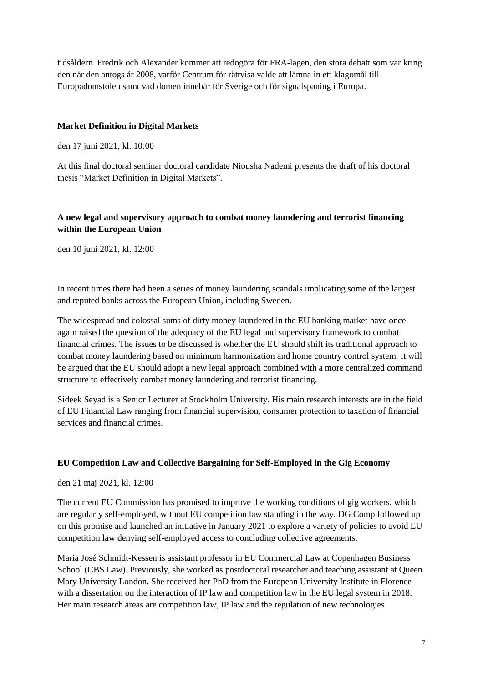tidsåldern. Fredrik och Alexander kommer att redogöra för FRA-lagen, den stora debatt som var kring den när den antogs år 2008, varför Centrum för rättvisa valde att lämna in ett klagomål till Europadomstolen samt vad domen innebär för Sverige och för signalspaning i Europa.

### **Market Definition in Digital Markets**

den 17 juni 2021, kl. 10:00

At this final doctoral seminar doctoral candidate Niousha Nademi presents the draft of his doctoral thesis "Market Definition in Digital Markets".

### **A new legal and supervisory approach to combat money laundering and terrorist financing within the European Union**

den 10 juni 2021, kl. 12:00

In recent times there had been a series of money laundering scandals implicating some of the largest and reputed banks across the European Union, including Sweden.

The widespread and colossal sums of dirty money laundered in the EU banking market have once again raised the question of the adequacy of the EU legal and supervisory framework to combat financial crimes. The issues to be discussed is whether the EU should shift its traditional approach to combat money laundering based on minimum harmonization and home country control system. It will be argued that the EU should adopt a new legal approach combined with a more centralized command structure to effectively combat money laundering and terrorist financing.

Sideek Seyad is a Senior Lecturer at Stockholm University. His main research interests are in the field of EU Financial Law ranging from financial supervision, consumer protection to taxation of financial services and financial crimes.

### **EU Competition Law and Collective Bargaining for Self-Employed in the Gig Economy**

den 21 maj 2021, kl. 12:00

The current EU Commission has promised to improve the working conditions of gig workers, which are regularly self-employed, without EU competition law standing in the way. DG Comp followed up on this promise and launched an initiative in January 2021 to explore a variety of policies to avoid EU competition law denying self-employed access to concluding collective agreements.

Maria José Schmidt-Kessen is assistant professor in EU Commercial Law at Copenhagen Business School (CBS Law). Previously, she worked as postdoctoral researcher and teaching assistant at Queen Mary University London. She received her PhD from the European University Institute in Florence with a dissertation on the interaction of IP law and competition law in the EU legal system in 2018. Her main research areas are competition law, IP law and the regulation of new technologies.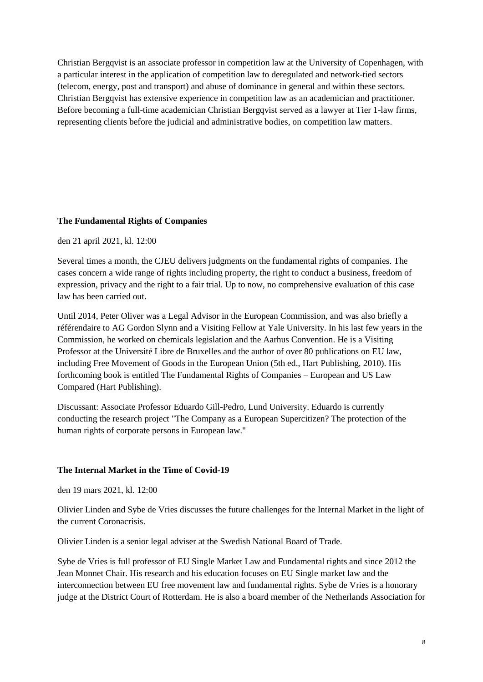Christian Bergqvist is an associate professor in competition law at the University of Copenhagen, with a particular interest in the application of competition law to deregulated and network-tied sectors (telecom, energy, post and transport) and abuse of dominance in general and within these sectors. Christian Bergqvist has extensive experience in competition law as an academician and practitioner. Before becoming a full-time academician Christian Bergqvist served as a lawyer at Tier 1-law firms, representing clients before the judicial and administrative bodies, on competition law matters.

### **The Fundamental Rights of Companies**

den 21 april 2021, kl. 12:00

Several times a month, the CJEU delivers judgments on the fundamental rights of companies. The cases concern a wide range of rights including property, the right to conduct a business, freedom of expression, privacy and the right to a fair trial. Up to now, no comprehensive evaluation of this case law has been carried out.

Until 2014, Peter Oliver was a Legal Advisor in the European Commission, and was also briefly a référendaire to AG Gordon Slynn and a Visiting Fellow at Yale University. In his last few years in the Commission, he worked on chemicals legislation and the Aarhus Convention. He is a Visiting Professor at the Université Libre de Bruxelles and the author of over 80 publications on EU law, including Free Movement of Goods in the European Union (5th ed., Hart Publishing, 2010). His forthcoming book is entitled The Fundamental Rights of Companies – European and US Law Compared (Hart Publishing).

Discussant: Associate Professor Eduardo Gill-Pedro, Lund University. Eduardo is currently conducting the research project "The Company as a European Supercitizen? The protection of the human rights of corporate persons in European law."

### **The Internal Market in the Time of Covid-19**

den 19 mars 2021, kl. 12:00

Olivier Linden and Sybe de Vries discusses the future challenges for the Internal Market in the light of the current Coronacrisis.

Olivier Linden is a senior legal adviser at the Swedish National Board of Trade.

Sybe de Vries is full professor of EU Single Market Law and Fundamental rights and since 2012 the Jean Monnet Chair. His research and his education focuses on EU Single market law and the interconnection between EU free movement law and fundamental rights. Sybe de Vries is a honorary judge at the District Court of Rotterdam. He is also a board member of the Netherlands Association for